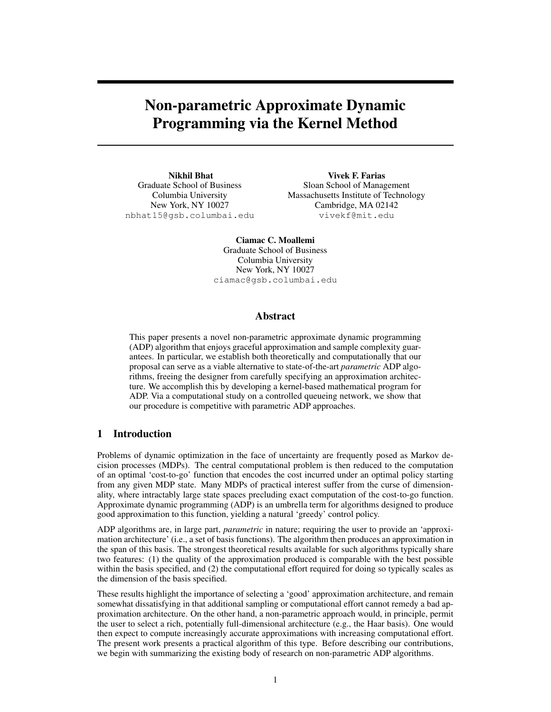# Non-parametric Approximate Dynamic Programming via the Kernel Method

Nikhil Bhat Graduate School of Business Columbia University New York, NY 10027 nbhat15@gsb.columbai.edu

Vivek F. Farias Sloan School of Management Massachusetts Institute of Technology Cambridge, MA 02142 vivekf@mit.edu

Ciamac C. Moallemi Graduate School of Business Columbia University New York, NY 10027 ciamac@gsb.columbai.edu

# Abstract

This paper presents a novel non-parametric approximate dynamic programming (ADP) algorithm that enjoys graceful approximation and sample complexity guarantees. In particular, we establish both theoretically and computationally that our proposal can serve as a viable alternative to state-of-the-art *parametric* ADP algorithms, freeing the designer from carefully specifying an approximation architecture. We accomplish this by developing a kernel-based mathematical program for ADP. Via a computational study on a controlled queueing network, we show that our procedure is competitive with parametric ADP approaches.

# 1 Introduction

Problems of dynamic optimization in the face of uncertainty are frequently posed as Markov decision processes (MDPs). The central computational problem is then reduced to the computation of an optimal 'cost-to-go' function that encodes the cost incurred under an optimal policy starting from any given MDP state. Many MDPs of practical interest suffer from the curse of dimensionality, where intractably large state spaces precluding exact computation of the cost-to-go function. Approximate dynamic programming (ADP) is an umbrella term for algorithms designed to produce good approximation to this function, yielding a natural 'greedy' control policy.

ADP algorithms are, in large part, *parametric* in nature; requiring the user to provide an 'approximation architecture' (i.e., a set of basis functions). The algorithm then produces an approximation in the span of this basis. The strongest theoretical results available for such algorithms typically share two features: (1) the quality of the approximation produced is comparable with the best possible within the basis specified, and (2) the computational effort required for doing so typically scales as the dimension of the basis specified.

These results highlight the importance of selecting a 'good' approximation architecture, and remain somewhat dissatisfying in that additional sampling or computational effort cannot remedy a bad approximation architecture. On the other hand, a non-parametric approach would, in principle, permit the user to select a rich, potentially full-dimensional architecture (e.g., the Haar basis). One would then expect to compute increasingly accurate approximations with increasing computational effort. The present work presents a practical algorithm of this type. Before describing our contributions, we begin with summarizing the existing body of research on non-parametric ADP algorithms.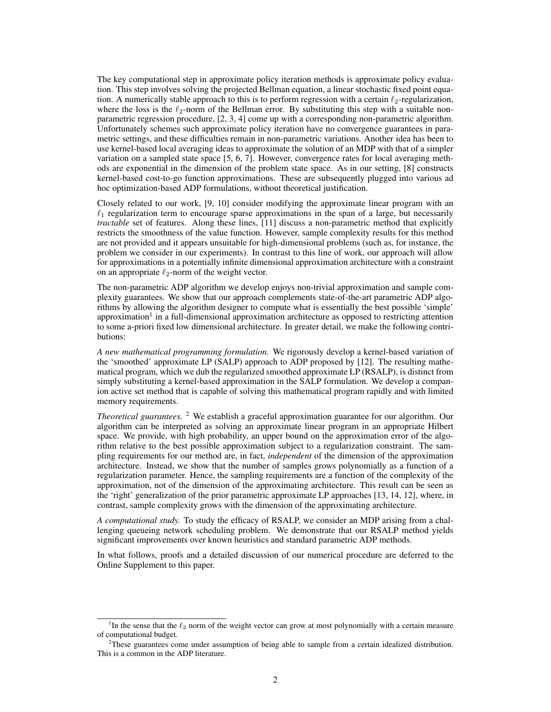The key computational step in approximate policy iteration methods is approximate policy evaluation. This step involves solving the projected Bellman equation, a linear stochastic fixed point equation. A numerically stable approach to this is to perform regression with a certain  $\ell_2$ -regularization, where the loss is the  $\ell_2$ -norm of the Bellman error. By substituting this step with a suitable nonparametric regression procedure, [2, 3, 4] come up with a corresponding non-parametric algorithm. Unfortunately schemes such approximate policy iteration have no convergence guarantees in parametric settings, and these difficulties remain in non-parametric variations. Another idea has been to use kernel-based local averaging ideas to approximate the solution of an MDP with that of a simpler variation on a sampled state space [5, 6, 7]. However, convergence rates for local averaging methods are exponential in the dimension of the problem state space. As in our setting, [8] constructs kernel-based cost-to-go function approximations. These are subsequently plugged into various ad hoc optimization-based ADP formulations, without theoretical justification.

Closely related to our work, [9, 10] consider modifying the approximate linear program with an  $\ell_1$  regularization term to encourage sparse approximations in the span of a large, but necessarily *tractable* set of features. Along these lines, [11] discuss a non-parametric method that explicitly restricts the smoothness of the value function. However, sample complexity results for this method are not provided and it appears unsuitable for high-dimensional problems (such as, for instance, the problem we consider in our experiments). In contrast to this line of work, our approach will allow for approximations in a potentially infinite dimensional approximation architecture with a constraint on an appropriate  $\ell_2$ -norm of the weight vector.

The non-parametric ADP algorithm we develop enjoys non-trivial approximation and sample complexity guarantees. We show that our approach complements state-of-the-art parametric ADP algorithms by allowing the algorithm designer to compute what is essentially the best possible 'simple' approximation<sup>1</sup> in a full-dimensional approximation architecture as opposed to restricting attention to some a-priori fixed low dimensional architecture. In greater detail, we make the following contributions:

*A new mathematical programming formulation.* We rigorously develop a kernel-based variation of the 'smoothed' approximate LP (SALP) approach to ADP proposed by [12]. The resulting mathematical program, which we dub the regularized smoothed approximate LP (RSALP), is distinct from simply substituting a kernel-based approximation in the SALP formulation. We develop a companion active set method that is capable of solving this mathematical program rapidly and with limited memory requirements.

*Theoretical guarantees.* <sup>2</sup> We establish a graceful approximation guarantee for our algorithm. Our algorithm can be interpreted as solving an approximate linear program in an appropriate Hilbert space. We provide, with high probability, an upper bound on the approximation error of the algorithm relative to the best possible approximation subject to a regularization constraint. The sampling requirements for our method are, in fact, *independent* of the dimension of the approximation architecture. Instead, we show that the number of samples grows polynomially as a function of a regularization parameter. Hence, the sampling requirements are a function of the complexity of the approximation, not of the dimension of the approximating architecture. This result can be seen as the 'right' generalization of the prior parametric approximate LP approaches [13, 14, 12], where, in contrast, sample complexity grows with the dimension of the approximating architecture.

*A computational study.* To study the efficacy of RSALP, we consider an MDP arising from a challenging queueing network scheduling problem. We demonstrate that our RSALP method yields significant improvements over known heuristics and standard parametric ADP methods.

In what follows, proofs and a detailed discussion of our numerical procedure are deferred to the Online Supplement to this paper.

<sup>&</sup>lt;sup>1</sup>In the sense that the  $\ell_2$  norm of the weight vector can grow at most polynomially with a certain measure of computational budget.

<sup>&</sup>lt;sup>2</sup>These guarantees come under assumption of being able to sample from a certain idealized distribution. This is a common in the ADP literature.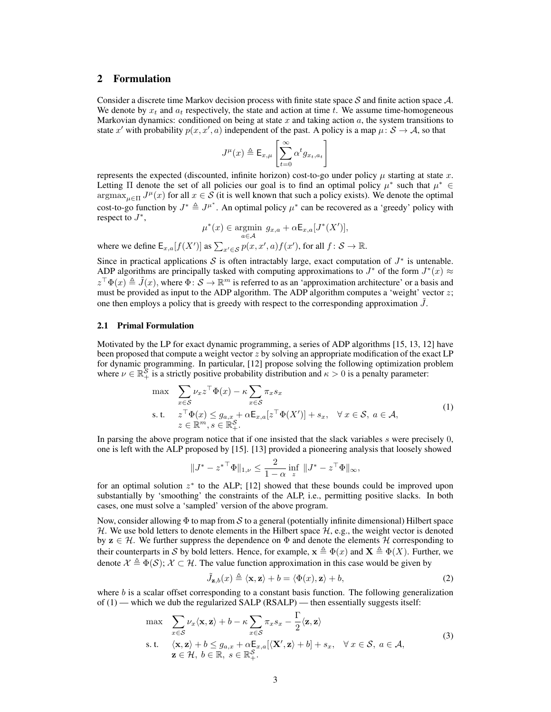# 2 Formulation

Consider a discrete time Markov decision process with finite state space S and finite action space  $A$ . We denote by  $x_t$  and  $a_t$  respectively, the state and action at time t. We assume time-homogeneous Markovian dynamics: conditioned on being at state  $x$  and taking action  $a$ , the system transitions to state x' with probability  $p(x, x', a)$  independent of the past. A policy is a map  $\mu \colon S \to A$ , so that

$$
J^{\mu}(x) \triangleq \mathsf{E}_{x,\mu}\left[\sum_{t=0}^{\infty} \alpha^t g_{x_t,a_t}\right]
$$

represents the expected (discounted, infinite horizon) cost-to-go under policy  $\mu$  starting at state x. Letting  $\Pi$  denote the set of all policies our goal is to find an optimal policy  $\mu^*$  such that  $\mu^* \in$  $\argmax_{u \in \Pi} J^{\mu}(x)$  for all  $x \in \mathcal{S}$  (it is well known that such a policy exists). We denote the optimal cost-to-go function by  $J^* \triangleq J^{\mu^*}$ . An optimal policy  $\mu^*$  can be recovered as a 'greedy' policy with respect to  $J^*$ ,

$$
\mu^*(x) \in \underset{a \in \mathcal{A}}{\operatorname{argmin}} \ g_{x,a} + \alpha \mathsf{E}_{x,a}[J^*(X')],
$$

where we define  $\mathsf{E}_{x,a}[f(X')]$  as  $\sum_{x' \in \mathcal{S}} p(x, x', a) f(x')$ , for all  $f : \mathcal{S} \to \mathbb{R}$ .

Since in practical applications S is often intractably large, exact computation of  $J^*$  is untenable. ADP algorithms are principally tasked with computing approximations to  $J^*$  of the form  $J^*(x) \approx$  $z^{\top}\Phi(x) \triangleq \tilde{J}(x)$ , where  $\Phi: \mathcal{S} \to \mathbb{R}^m$  is referred to as an 'approximation architecture' or a basis and must be provided as input to the ADP algorithm. The ADP algorithm computes a 'weight' vector  $z$ ; one then employs a policy that is greedy with respect to the corresponding approximation  $\tilde{J}$ .

## 2.1 Primal Formulation

Motivated by the LP for exact dynamic programming, a series of ADP algorithms [15, 13, 12] have been proposed that compute a weight vector  $z$  by solving an appropriate modification of the exact LP for dynamic programming. In particular, [12] propose solving the following optimization problem where  $\nu \in \mathbb{R}_+^S$  is a strictly positive probability distribution and  $\kappa > 0$  is a penalty parameter:

$$
\max \sum_{x \in S} \nu_x z^{\top} \Phi(x) - \kappa \sum_{x \in S} \pi_x s_x
$$
\ns.t. 
$$
z^{\top} \Phi(x) \leq g_{a,x} + \alpha \mathsf{E}_{x,a}[z^{\top} \Phi(X')] + s_x, \quad \forall x \in S, a \in \mathcal{A},
$$

$$
z \in \mathbb{R}^m, s \in \mathbb{R}^S_+.
$$
\n(1)

In parsing the above program notice that if one insisted that the slack variables  $s$  were precisely  $0$ , one is left with the ALP proposed by [15]. [13] provided a pioneering analysis that loosely showed

$$
||J^* - z^{*T} \Phi||_{1,\nu} \le \frac{2}{1-\alpha} \inf_{z} ||J^* - z^T \Phi||_{\infty},
$$

for an optimal solution  $z^*$  to the ALP; [12] showed that these bounds could be improved upon substantially by 'smoothing' the constraints of the ALP, i.e., permitting positive slacks. In both cases, one must solve a 'sampled' version of the above program.

Now, consider allowing  $\Phi$  to map from S to a general (potentially infinite dimensional) Hilbert space H. We use bold letters to denote elements in the Hilbert space  $H$ , e.g., the weight vector is denoted by  $z \in \mathcal{H}$ . We further suppress the dependence on  $\Phi$  and denote the elements H corresponding to their counterparts in S by bold letters. Hence, for example,  $x \triangleq \Phi(x)$  and  $X \triangleq \Phi(X)$ . Further, we denote  $\mathcal{X} \triangleq \Phi(\mathcal{S})$ ;  $\mathcal{X} \subset \mathcal{H}$ . The value function approximation in this case would be given by

$$
\tilde{J}_{\mathbf{z},b}(x) \triangleq \langle \mathbf{x}, \mathbf{z} \rangle + b = \langle \Phi(x), \mathbf{z} \rangle + b,\tag{2}
$$

where  $b$  is a scalar offset corresponding to a constant basis function. The following generalization of  $(1)$  — which we dub the regularized SALP (RSALP) — then essentially suggests itself:

$$
\max \sum_{x \in S} \nu_x \langle \mathbf{x}, \mathbf{z} \rangle + b - \kappa \sum_{x \in S} \pi_x s_x - \frac{\Gamma}{2} \langle \mathbf{z}, \mathbf{z} \rangle
$$
  
s.t. 
$$
\langle \mathbf{x}, \mathbf{z} \rangle + b \le g_{a,x} + \alpha \mathbb{E}_{x,a} [\langle \mathbf{X}', \mathbf{z} \rangle + b] + s_x, \quad \forall x \in S, a \in A,
$$

$$
\mathbf{z} \in \mathcal{H}, b \in \mathbb{R}, s \in \mathbb{R}_+^S.
$$
 (3)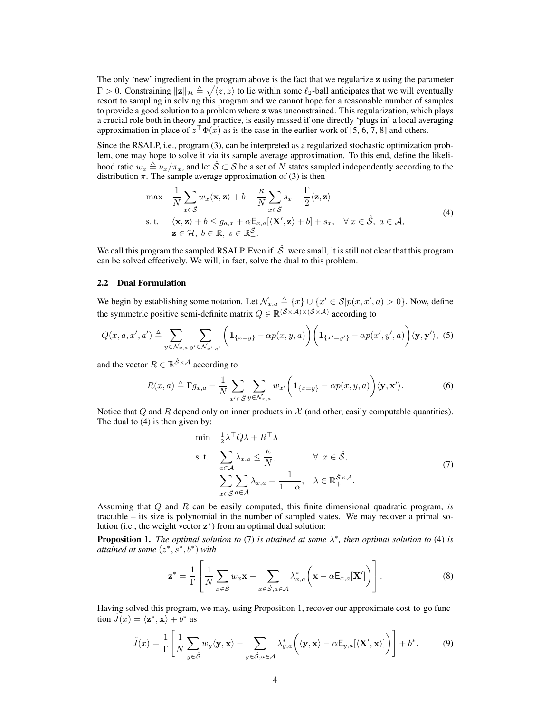The only 'new' ingredient in the program above is the fact that we regularize z using the parameter  $\Gamma > 0$ . Constraining  $||\mathbf{z}||_{\mathcal{H}} \triangleq \sqrt{\langle z, z \rangle}$  to lie within some  $\ell_2$ -ball anticipates that we will eventually resort to sampling in solving this program and we cannot hope for a reasonable number of samples to provide a good solution to a problem where z was unconstrained. This regularization, which plays a crucial role both in theory and practice, is easily missed if one directly 'plugs in' a local averaging approximation in place of  $z<sup>\dagger</sup> \Phi(x)$  as is the case in the earlier work of [5, 6, 7, 8] and others.

Since the RSALP, i.e., program (3), can be interpreted as a regularized stochastic optimization problem, one may hope to solve it via its sample average approximation. To this end, define the likelihood ratio  $w_x \triangleq \nu_x/\pi_x$ , and let  $\hat{S} \subset S$  be a set of N states sampled independently according to the distribution  $\pi$ . The sample average approximation of (3) is then

$$
\max \quad \frac{1}{N} \sum_{x \in \hat{S}} w_x \langle \mathbf{x}, \mathbf{z} \rangle + b - \frac{\kappa}{N} \sum_{x \in \hat{S}} s_x - \frac{\Gamma}{2} \langle \mathbf{z}, \mathbf{z} \rangle
$$
\n
$$
\text{s.t.} \quad \langle \mathbf{x}, \mathbf{z} \rangle + b \le g_{a,x} + \alpha \mathbb{E}_{x,a} [\langle \mathbf{X}', \mathbf{z} \rangle + b] + s_x, \quad \forall \, x \in \hat{S}, \, a \in \mathcal{A},
$$
\n
$$
\mathbf{z} \in \mathcal{H}, \, b \in \mathbb{R}, \, s \in \mathbb{R}^{\hat{S}}_+.
$$
\n
$$
(4)
$$

We call this program the sampled RSALP. Even if  $|\hat{S}|$  were small, it is still not clear that this program can be solved effectively. We will, in fact, solve the dual to this problem.

### 2.2 Dual Formulation

We begin by establishing some notation. Let  $\mathcal{N}_{x,a} \triangleq \{x\} \cup \{x' \in \mathcal{S} | p(x, x', a) > 0\}$ . Now, define the symmetric positive semi-definite matrix  $Q \in \mathbb{R}^{(\hat{S} \times \hat{A}) \times (\hat{S} \times \hat{A})}$  according to

$$
Q(x, a, x', a') \triangleq \sum_{y \in \mathcal{N}_{x, a}} \sum_{y' \in \mathcal{N}_{x', a'}} \left( \mathbf{1}_{\{x = y\}} - \alpha p(x, y, a) \right) \left( \mathbf{1}_{\{x' = y'\}} - \alpha p(x', y', a) \right) \langle \mathbf{y}, \mathbf{y}' \rangle, (5)
$$

and the vector  $R \in \mathbb{R}^{\hat{S} \times A}$  according to

$$
R(x,a) \triangleq \Gamma g_{x,a} - \frac{1}{N} \sum_{x' \in \hat{S}} \sum_{y \in \mathcal{N}_{x,a}} w_{x'} \left( \mathbf{1}_{\{x=y\}} - \alpha p(x,y,a) \right) \langle \mathbf{y}, \mathbf{x'} \rangle.
$$
 (6)

Notice that Q and R depend only on inner products in  $\mathcal X$  (and other, easily computable quantities). The dual to (4) is then given by:

$$
\min \frac{1}{2} \lambda^{\top} Q \lambda + R^{\top} \lambda
$$
\n
$$
\text{s.t.} \quad \sum_{a \in \mathcal{A}} \lambda_{x,a} \leq \frac{\kappa}{N}, \qquad \forall \ x \in \hat{\mathcal{S}},
$$
\n
$$
\sum_{x \in \hat{\mathcal{S}}} \sum_{a \in \mathcal{A}} \lambda_{x,a} = \frac{1}{1 - \alpha}, \quad \lambda \in \mathbb{R}_{+}^{\hat{\mathcal{S}} \times \mathcal{A}}.
$$
\n
$$
(7)
$$

Assuming that Q and R can be easily computed, this finite dimensional quadratic program, *is* tractable – its size is polynomial in the number of sampled states. We may recover a primal solution (i.e., the weight vector  $z^*$ ) from an optimal dual solution:

**Proposition 1.** *The optimal solution to* (7) *is attained at some*  $\lambda^*$ *, then optimal solution to* (4) *is attained at some* (z∗, s∗, b∗) *with*

$$
\mathbf{z}^* = \frac{1}{\Gamma} \left[ \frac{1}{N} \sum_{x \in \hat{\mathcal{S}}} w_x \mathbf{x} - \sum_{x \in \hat{\mathcal{S}}, a \in \mathcal{A}} \lambda_{x,a}^* \left( \mathbf{x} - \alpha \mathsf{E}_{x,a}[\mathbf{X}'] \right) \right]. \tag{8}
$$

Having solved this program, we may, using Proposition 1, recover our approximate cost-to-go function  $\tilde{J}(x) = \langle \mathbf{z}^*, \mathbf{x} \rangle + b^*$  as

$$
\tilde{J}(x) = \frac{1}{\Gamma} \left[ \frac{1}{N} \sum_{y \in \hat{\mathcal{S}}} w_y \langle \mathbf{y}, \mathbf{x} \rangle - \sum_{y \in \hat{\mathcal{S}}, a \in \mathcal{A}} \lambda_{y,a}^* \left( \langle \mathbf{y}, \mathbf{x} \rangle - \alpha \mathsf{E}_{y,a} [\langle \mathbf{X}', \mathbf{x} \rangle] \right) \right] + b^*.
$$
 (9)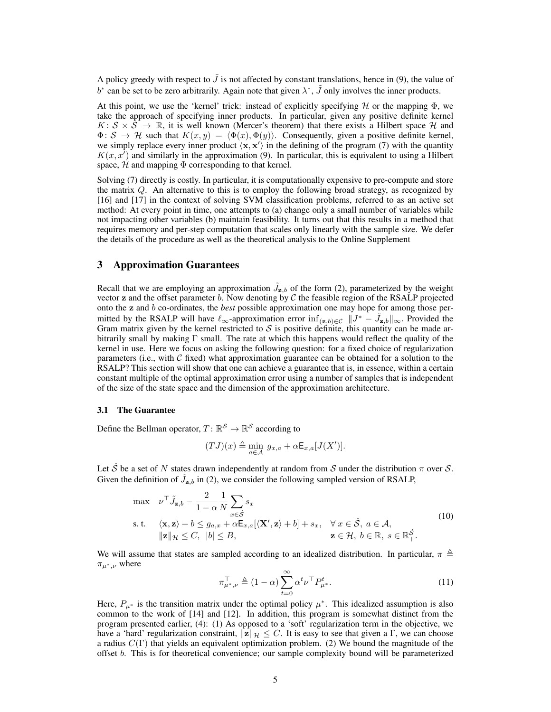A policy greedy with respect to  $\tilde{J}$  is not affected by constant translations, hence in (9), the value of  $b^*$  can be set to be zero arbitrarily. Again note that given  $\lambda^*, \tilde{J}$  only involves the inner products.

At this point, we use the 'kernel' trick: instead of explicitly specifying  $H$  or the mapping  $\Phi$ , we take the approach of specifying inner products. In particular, given any positive definite kernel  $K: \mathcal{S} \times \mathcal{S} \to \mathbb{R}$ , it is well known (Mercer's theorem) that there exists a Hilbert space H and  $\Phi: \mathcal{S} \to \mathcal{H}$  such that  $K(x, y) = \langle \Phi(x), \Phi(y) \rangle$ . Consequently, given a positive definite kernel, we simply replace every inner product  $\langle x, x' \rangle$  in the defining of the program (7) with the quantity  $K(x, x')$  and similarly in the approximation (9). In particular, this is equivalent to using a Hilbert space,  $H$  and mapping  $\Phi$  corresponding to that kernel.

Solving (7) directly is costly. In particular, it is computationally expensive to pre-compute and store the matrix  $Q$ . An alternative to this is to employ the following broad strategy, as recognized by [16] and [17] in the context of solving SVM classification problems, referred to as an active set method: At every point in time, one attempts to (a) change only a small number of variables while not impacting other variables (b) maintain feasibility. It turns out that this results in a method that requires memory and per-step computation that scales only linearly with the sample size. We defer the details of the procedure as well as the theoretical analysis to the Online Supplement

# 3 Approximation Guarantees

Recall that we are employing an approximation  $\tilde{J}_{\mathbf{z},b}$  of the form (2), parameterized by the weight vector  $z$  and the offset parameter  $b$ . Now denoting by  $C$  the feasible region of the RSALP projected onto the z and b co-ordinates, the *best* possible approximation one may hope for among those permitted by the RSALP will have  $\ell_{\infty}$ -approximation error inf $(z,b)\in\mathcal{C}$   $||J^* - \tilde{J}_{\mathbf{z},b}||_{\infty}$ . Provided the Gram matrix given by the kernel restricted to  $S$  is positive definite, this quantity can be made arbitrarily small by making  $\Gamma$  small. The rate at which this happens would reflect the quality of the kernel in use. Here we focus on asking the following question: for a fixed choice of regularization parameters (i.e., with  $C$  fixed) what approximation guarantee can be obtained for a solution to the RSALP? This section will show that one can achieve a guarantee that is, in essence, within a certain constant multiple of the optimal approximation error using a number of samples that is independent of the size of the state space and the dimension of the approximation architecture.

#### 3.1 The Guarantee

Define the Bellman operator,  $T: \mathbb{R}^S \to \mathbb{R}^S$  according to

$$
(TJ)(x) \triangleq \min_{a \in \mathcal{A}} g_{x,a} + \alpha \mathsf{E}_{x,a}[J(X')].
$$

Let  $\hat{S}$  be a set of N states drawn independently at random from S under the distribution  $\pi$  over S. Given the definition of  $\tilde{J}_{\mathbf{z},b}$  in (2), we consider the following sampled version of RSALP,

$$
\max \quad \nu^{\top} \tilde{J}_{\mathbf{z},b} - \frac{2}{1-\alpha} \frac{1}{N} \sum_{x \in \hat{\mathcal{S}}} s_x
$$
\n
$$
\text{s.t.} \quad \langle \mathbf{x}, \mathbf{z} \rangle + b \le g_{a,x} + \alpha \mathsf{E}_{x,a} [\langle \mathbf{X}', \mathbf{z} \rangle + b] + s_x, \quad \forall x \in \hat{\mathcal{S}}, a \in \mathcal{A},
$$
\n
$$
\|\mathbf{z}\|_{\mathcal{H}} \le C, \quad |b| \le B, \qquad \qquad \mathbf{z} \in \mathcal{H}, b \in \mathbb{R}, s \in \mathbb{R}_{+}^{\hat{\mathcal{S}}}.
$$
\n
$$
(10)
$$

We will assume that states are sampled according to an idealized distribution. In particular,  $\pi \triangleq$  $\pi_{\mu^*,\nu}$  where

$$
\pi_{\mu^*,\nu}^{\top} \triangleq (1-\alpha) \sum_{t=0}^{\infty} \alpha^t \nu^{\top} P_{\mu^*}^t.
$$
 (11)

Here,  $P_{\mu^*}$  is the transition matrix under the optimal policy  $\mu^*$ . This idealized assumption is also common to the work of [14] and [12]. In addition, this program is somewhat distinct from the program presented earlier, (4): (1) As opposed to a 'soft' regularization term in the objective, we have a 'hard' regularization constraint,  $||\mathbf{z}||_{\mathcal{H}} \leq C$ . It is easy to see that given a Γ, we can choose a radius  $C(\Gamma)$  that yields an equivalent optimization problem. (2) We bound the magnitude of the offset b. This is for theoretical convenience; our sample complexity bound will be parameterized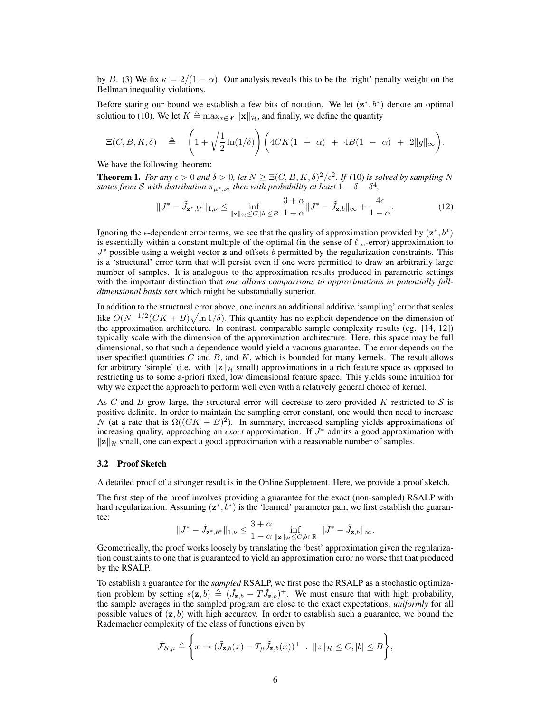by B. (3) We fix  $\kappa = 2/(1 - \alpha)$ . Our analysis reveals this to be the 'right' penalty weight on the Bellman inequality violations.

Before stating our bound we establish a few bits of notation. We let  $(z^*, b^*)$  denote an optimal solution to (10). We let  $K \triangleq \max_{x \in \mathcal{X}} ||x||_{\mathcal{H}}$ , and finally, we define the quantity

$$
\Xi(C, B, K, \delta) \quad \triangleq \quad \left(1 + \sqrt{\frac{1}{2}\ln(1/\delta)}\right) \left(4CK(1 + \alpha) + 4B(1 - \alpha) + 2\|g\|_{\infty}\right).
$$

We have the following theorem:

**Theorem 1.** *For any*  $\epsilon > 0$  *and*  $\delta > 0$ *, let*  $N \geq \Xi(C, B, K, \delta)^2/\epsilon^2$ *. If* (10) *is solved by sampling* N *states from S with distribution*  $\pi_{\mu^*,\nu}$ *, then with probability at least*  $1 - \delta - \delta^4$ *,* 

$$
||J^* - \tilde{J}_{\mathbf{z}^*,b^*}||_{1,\nu} \le \inf_{||\mathbf{z}||\mathcal{H} \le C, |b| \le B} \frac{3+\alpha}{1-\alpha} ||J^* - \tilde{J}_{\mathbf{z},b}||_{\infty} + \frac{4\epsilon}{1-\alpha}.
$$
 (12)

Ignoring the  $\epsilon$ -dependent error terms, we see that the quality of approximation provided by  $(z^*, b^*)$ is essentially within a constant multiple of the optimal (in the sense of  $\ell_{\infty}$ -error) approximation to  $J^*$  possible using a weight vector z and offsets b permitted by the regularization constraints. This is a 'structural' error term that will persist even if one were permitted to draw an arbitrarily large number of samples. It is analogous to the approximation results produced in parametric settings with the important distinction that *one allows comparisons to approximations in potentially fulldimensional basis sets* which might be substantially superior.

In addition to the structural error above, one incurs an additional additive 'sampling' error that scales like  $O(N^{-1/2}(CK + B)\sqrt{\ln 1/\delta})$ . This quantity has no explicit dependence on the dimension of the approximation architecture. In contrast, comparable sample complexity results (eg. [14, 12]) typically scale with the dimension of the approximation architecture. Here, this space may be full dimensional, so that such a dependence would yield a vacuous guarantee. The error depends on the user specified quantities  $C$  and  $B$ , and  $K$ , which is bounded for many kernels. The result allows for arbitrary 'simple' (i.e. with  $||\mathbf{z}||_{\mathcal{H}}$  small) approximations in a rich feature space as opposed to restricting us to some a-priori fixed, low dimensional feature space. This yields some intuition for why we expect the approach to perform well even with a relatively general choice of kernel.

As C and B grow large, the structural error will decrease to zero provided K restricted to  $S$  is positive definite. In order to maintain the sampling error constant, one would then need to increase N (at a rate that is  $\Omega((CK + B)^2)$ ). In summary, increased sampling yields approximations of increasing quality, approaching an *exact* approximation. If J<sup>∗</sup> admits a good approximation with  $||z||_{\mathcal{H}}$  small, one can expect a good approximation with a reasonable number of samples.

### 3.2 Proof Sketch

A detailed proof of a stronger result is in the Online Supplement. Here, we provide a proof sketch.

The first step of the proof involves providing a guarantee for the exact (non-sampled) RSALP with hard regularization. Assuming  $(z^*, b^*)$  is the 'learned' parameter pair, we first establish the guarantee:

$$
||J^* - \tilde{J}_{\mathbf{z}^*,b^*}||_{1,\nu} \leq \frac{3+\alpha}{1-\alpha} \inf_{||\mathbf{z}||_{\mathcal{H}} \leq C, b \in \mathbb{R}} ||J^* - \tilde{J}_{\mathbf{z},b}||_{\infty}.
$$

Geometrically, the proof works loosely by translating the 'best' approximation given the regularization constraints to one that is guaranteed to yield an approximation error no worse that that produced by the RSALP.

To establish a guarantee for the *sampled* RSALP, we first pose the RSALP as a stochastic optimization problem by setting  $s(z, b) \triangleq (\tilde{J}_{z, b} - T\tilde{J}_{z, b})^+$ . We must ensure that with high probability, the sample averages in the sampled program are close to the exact expectations, *uniformly* for all possible values of  $(z, b)$  with high accuracy. In order to establish such a guarantee, we bound the Rademacher complexity of the class of functions given by

$$
\bar{\mathcal{F}}_{\mathcal{S},\mu} \triangleq \left\{ x \mapsto (\tilde{J}_{\mathbf{z},b}(x) - T_{\mu} \tilde{J}_{\mathbf{z},b}(x))^+ : \|z\|_{\mathcal{H}} \leq C, |b| \leq B \right\},\
$$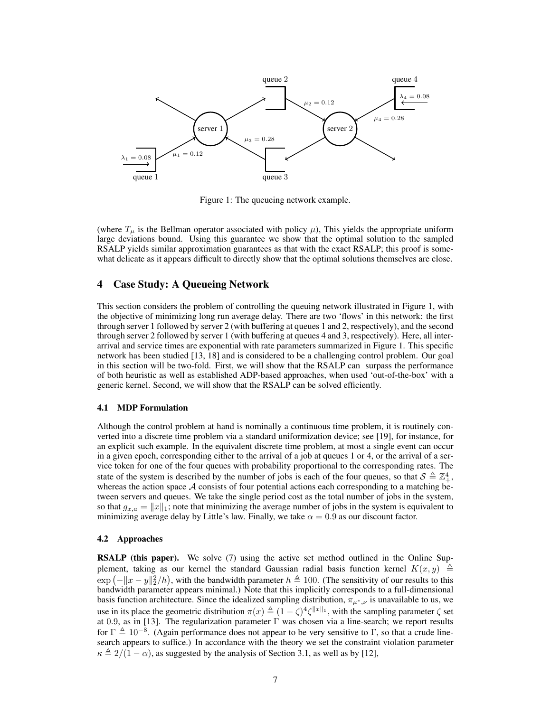

Figure 1: The queueing network example.

(where  $T_{\mu}$  is the Bellman operator associated with policy  $\mu$ ), This yields the appropriate uniform large deviations bound. Using this guarantee we show that the optimal solution to the sampled RSALP yields similar approximation guarantees as that with the exact RSALP; this proof is somewhat delicate as it appears difficult to directly show that the optimal solutions themselves are close.

## 4 Case Study: A Queueing Network

This section considers the problem of controlling the queuing network illustrated in Figure 1, with the objective of minimizing long run average delay. There are two 'flows' in this network: the first through server 1 followed by server 2 (with buffering at queues 1 and 2, respectively), and the second through server 2 followed by server 1 (with buffering at queues 4 and 3, respectively). Here, all interarrival and service times are exponential with rate parameters summarized in Figure 1. This specific network has been studied [13, 18] and is considered to be a challenging control problem. Our goal in this section will be two-fold. First, we will show that the RSALP can surpass the performance of both heuristic as well as established ADP-based approaches, when used 'out-of-the-box' with a generic kernel. Second, we will show that the RSALP can be solved efficiently.

#### 4.1 MDP Formulation

Although the control problem at hand is nominally a continuous time problem, it is routinely converted into a discrete time problem via a standard uniformization device; see [19], for instance, for an explicit such example. In the equivalent discrete time problem, at most a single event can occur in a given epoch, corresponding either to the arrival of a job at queues 1 or 4, or the arrival of a service token for one of the four queues with probability proportional to the corresponding rates. The state of the system is described by the number of jobs is each of the four queues, so that  $S \triangleq \mathbb{Z}_+^4$ , whereas the action space  $A$  consists of four potential actions each corresponding to a matching between servers and queues. We take the single period cost as the total number of jobs in the system, so that  $g_{x,a} = ||x||_1$ ; note that minimizing the average number of jobs in the system is equivalent to minimizing average delay by Little's law. Finally, we take  $\alpha = 0.9$  as our discount factor.

## 4.2 Approaches

RSALP (this paper). We solve (7) using the active set method outlined in the Online Supplement, taking as our kernel the standard Gaussian radial basis function kernel  $K(x, y) \triangleq$  $\exp(-||x-y||_2^2/h)$ , with the bandwidth parameter  $h \triangleq 100$ . (The sensitivity of our results to this bandwidth parameter appears minimal.) Note that this implicitly corresponds to a full-dimensional basis function architecture. Since the idealized sampling distribution,  $\pi_{\mu^*,\nu}$  is unavailable to us, we use in its place the geometric distribution  $\pi(x) \triangleq (1 - \zeta)^4 \zeta^{||x||_1}$ , with the sampling parameter  $\zeta$  set at 0.9, as in [13]. The regularization parameter  $\Gamma$  was chosen via a line-search; we report results for  $\Gamma \triangleq 10^{-8}$ . (Again performance does not appear to be very sensitive to Γ, so that a crude linesearch appears to suffice.) In accordance with the theory we set the constraint violation parameter  $\kappa \triangleq 2/(1 - \alpha)$ , as suggested by the analysis of Section 3.1, as well as by [12],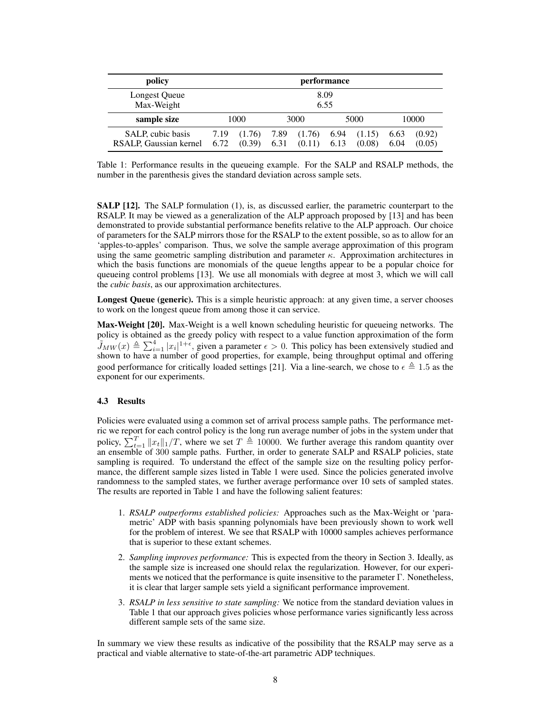| policy                 | performance |        |      |        |      |        |       |        |
|------------------------|-------------|--------|------|--------|------|--------|-------|--------|
| Longest Queue          | 8.09        |        |      |        |      |        |       |        |
| Max-Weight             | 6.55        |        |      |        |      |        |       |        |
| sample size            | 1000        |        | 3000 |        | 5000 |        | 10000 |        |
| SALP, cubic basis      | 7.19        | (1.76) | 7.89 | (1.76) | 6.94 | (1.15) | 6.63  | (0.92) |
| RSALP, Gaussian kernel | 6.72        | (0.39) | 6.31 | (0.11) | 6.13 | (0.08) | 6.04  | (0.05) |

Table 1: Performance results in the queueing example. For the SALP and RSALP methods, the number in the parenthesis gives the standard deviation across sample sets.

**SALP** [12]. The SALP formulation (1), is, as discussed earlier, the parametric counterpart to the RSALP. It may be viewed as a generalization of the ALP approach proposed by [13] and has been demonstrated to provide substantial performance benefits relative to the ALP approach. Our choice of parameters for the SALP mirrors those for the RSALP to the extent possible, so as to allow for an 'apples-to-apples' comparison. Thus, we solve the sample average approximation of this program using the same geometric sampling distribution and parameter  $\kappa$ . Approximation architectures in which the basis functions are monomials of the queue lengths appear to be a popular choice for queueing control problems [13]. We use all monomials with degree at most 3, which we will call the *cubic basis*, as our approximation architectures.

Longest Queue (generic). This is a simple heuristic approach: at any given time, a server chooses to work on the longest queue from among those it can service.

Max-Weight [20]. Max-Weight is a well known scheduling heuristic for queueing networks. The policy is obtained as the greedy policy with respect to a value function approximation of the form  $\tilde{J}_{MW}(x) \triangleq \sum_{i=1}^{4} |x_i|^{1+\epsilon}$ , given a parameter  $\epsilon > 0$ . This policy has been extensively studied and shown to have a number of good properties, for example, being throughput optimal and offering good performance for critically loaded settings [21]. Via a line-search, we chose to  $\epsilon \triangleq 1.5$  as the exponent for our experiments.

## 4.3 Results

Policies were evaluated using a common set of arrival process sample paths. The performance metric we report for each control policy is the long run average number of jobs in the system under that policy,  $\sum_{t=1}^{T} ||x_t||_1/T$ , where we set  $T \triangleq 10000$ . We further average this random quantity over an ensemble of  $300$  sample paths. Further, in order to generate SALP and RSALP policies, state sampling is required. To understand the effect of the sample size on the resulting policy performance, the different sample sizes listed in Table 1 were used. Since the policies generated involve randomness to the sampled states, we further average performance over 10 sets of sampled states. The results are reported in Table 1 and have the following salient features:

- 1. *RSALP outperforms established policies:* Approaches such as the Max-Weight or 'parametric' ADP with basis spanning polynomials have been previously shown to work well for the problem of interest. We see that RSALP with 10000 samples achieves performance that is superior to these extant schemes.
- 2. *Sampling improves performance:* This is expected from the theory in Section 3. Ideally, as the sample size is increased one should relax the regularization. However, for our experiments we noticed that the performance is quite insensitive to the parameter  $\Gamma$ . Nonetheless, it is clear that larger sample sets yield a significant performance improvement.
- 3. *RSALP in less sensitive to state sampling:* We notice from the standard deviation values in Table 1 that our approach gives policies whose performance varies significantly less across different sample sets of the same size.

In summary we view these results as indicative of the possibility that the RSALP may serve as a practical and viable alternative to state-of-the-art parametric ADP techniques.